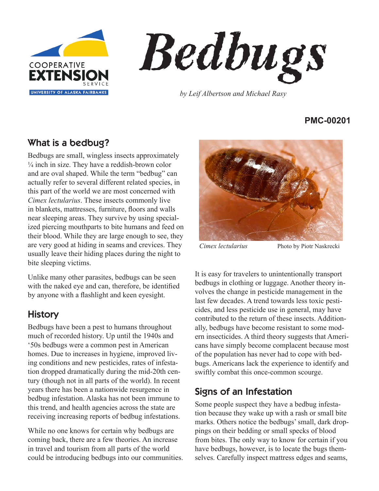



*by Leif Albertson and Michael Rasy*

#### **PMC-00201**

# What is a bedbug?

Bedbugs are small, wingless insects approximately  $\frac{1}{4}$  inch in size. They have a reddish-brown color and are oval shaped. While the term "bedbug" can actually refer to several different related species, in this part of the world we are most concerned with *Cimex lectularius*. These insects commonly live in blankets, mattresses, furniture, foors and walls near sleeping areas. They survive by using specialized piercing mouthparts to bite humans and feed on their blood. While they are large enough to see, they are very good at hiding in seams and crevices. They usually leave their hiding places during the night to bite sleeping victims.

Unlike many other parasites, bedbugs can be seen with the naked eye and can, therefore, be identifed by anyone with a fashlight and keen eyesight.

# **History**

Bedbugs have been a pest to humans throughout much of recorded history. Up until the 1940s and '50s bedbugs were a common pest in American homes. Due to increases in hygiene, improved living conditions and new pesticides, rates of infestation dropped dramatically during the mid-20th century (though not in all parts of the world). In recent years there has been a nationwide resurgence in bedbug infestation. Alaska has not been immune to this trend, and health agencies across the state are receiving increasing reports of bedbug infestations.

While no one knows for certain why bedbugs are coming back, there are a few theories. An increase in travel and tourism from all parts of the world could be introducing bedbugs into our communities.



*Cimex lectularius* Photo by Piotr Naskrecki

It is easy for travelers to unintentionally transport bedbugs in clothing or luggage. Another theory involves the change in pesticide management in the last few decades. A trend towards less toxic pesticides, and less pesticide use in general, may have contributed to the return of these insects. Additionally, bedbugs have become resistant to some modern insecticides. A third theory suggests that Americans have simply become complacent because most of the population has never had to cope with bedbugs. Americans lack the experience to identify and swiftly combat this once-common scourge.

# Signs of an Infestation

Some people suspect they have a bedbug infestation because they wake up with a rash or small bite marks. Others notice the bedbugs' small, dark droppings on their bedding or small specks of blood from bites. The only way to know for certain if you have bedbugs, however, is to locate the bugs themselves. Carefully inspect mattress edges and seams,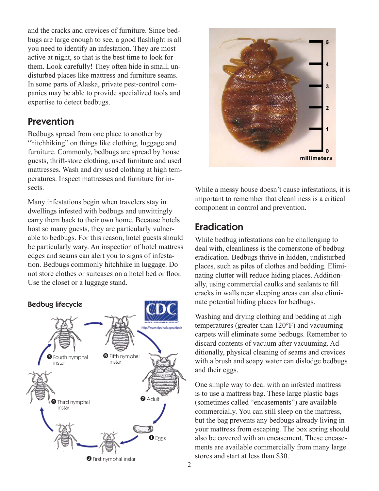and the cracks and crevices of furniture. Since bedbugs are large enough to see, a good fashlight is all you need to identify an infestation. They are most active at night, so that is the best time to look for them. Look carefully! They often hide in small, undisturbed places like mattress and furniture seams. In some parts of Alaska, private pest-control companies may be able to provide specialized tools and expertise to detect bedbugs.

### Prevention

Bedbugs spread from one place to another by "hitchhiking" on things like clothing, luggage and furniture. Commonly, bedbugs are spread by house guests, thrift-store clothing, used furniture and used mattresses. Wash and dry used clothing at high temperatures. Inspect mattresses and furniture for insects.

Many infestations begin when travelers stay in dwellings infested with bedbugs and unwittingly carry them back to their own home. Because hotels host so many guests, they are particularly vulnerable to bedbugs. For this reason, hotel guests should be particularly wary. An inspection of hotel mattress edges and seams can alert you to signs of infestation. Bedbugs commonly hitchhike in luggage. Do not store clothes or suitcases on a hotel bed or foor. Use the closet or a luggage stand.





While a messy house doesn't cause infestations, it is important to remember that cleanliness is a critical component in control and prevention.

# Eradication

While bedbug infestations can be challenging to deal with, cleanliness is the cornerstone of bedbug eradication. Bedbugs thrive in hidden, undisturbed places, such as piles of clothes and bedding. Eliminating clutter will reduce hiding places. Additionally, using commercial caulks and sealants to fll cracks in walls near sleeping areas can also eliminate potential hiding places for bedbugs.

Washing and drying clothing and bedding at high temperatures (greater than 120°F) and vacuuming carpets will eliminate some bedbugs. Remember to discard contents of vacuum after vacuuming. Additionally, physical cleaning of seams and crevices with a brush and soapy water can dislodge bedbugs and their eggs.

One simple way to deal with an infested mattress is to use a mattress bag. These large plastic bags (sometimes called "encasements") are available commercially. You can still sleep on the mattress, but the bag prevents any bedbugs already living in your mattress from escaping. The box spring should also be covered with an encasement. These encasements are available commercially from many large stores and start at less than \$30.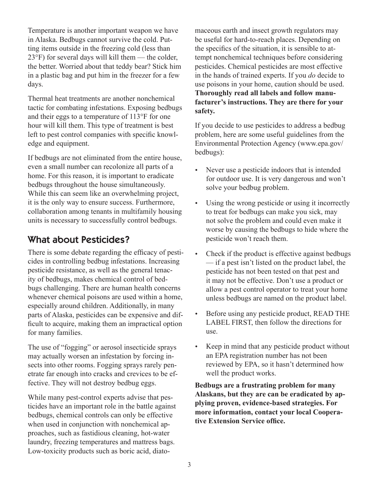Temperature is another important weapon we have in Alaska. Bedbugs cannot survive the cold. Putting items outside in the freezing cold (less than 23°F) for several days will kill them — the colder, the better. Worried about that teddy bear? Stick him in a plastic bag and put him in the freezer for a few days.

Thermal heat treatments are another nonchemical tactic for combating infestations. Exposing bedbugs and their eggs to a temperature of 113°F for one hour will kill them. This type of treatment is best left to pest control companies with specifc knowledge and equipment.

If bedbugs are not eliminated from the entire house, even a small number can recolonize all parts of a home. For this reason, it is important to eradicate bedbugs throughout the house simultaneously. While this can seem like an overwhelming project, it is the only way to ensure success. Furthermore, collaboration among tenants in multifamily housing units is necessary to successfully control bedbugs.

## What about Pesticides?

There is some debate regarding the efficacy of pesticides in controlling bedbug infestations. Increasing pesticide resistance, as well as the general tenacity of bedbugs, makes chemical control of bedbugs challenging. There are human health concerns whenever chemical poisons are used within a home, especially around children. Additionally, in many parts of Alaska, pesticides can be expensive and diffcult to acquire, making them an impractical option for many families.

The use of "fogging" or aerosol insecticide sprays may actually worsen an infestation by forcing insects into other rooms. Fogging sprays rarely penetrate far enough into cracks and crevices to be effective. They will not destroy bedbug eggs.

While many pest-control experts advise that pesticides have an important role in the battle against bedbugs, chemical controls can only be effective when used in conjunction with nonchemical approaches, such as fastidious cleaning, hot-water laundry, freezing temperatures and mattress bags. Low-toxicity products such as boric acid, diatomaceous earth and insect growth regulators may be useful for hard-to-reach places. Depending on the specifcs of the situation, it is sensible to attempt nonchemical techniques before considering pesticides. Chemical pesticides are most effective in the hands of trained experts. If you *do* decide to use poisons in your home, caution should be used. **Thoroughly read all labels and follow manufacturer's instructions. They are there for your safety.**

If you decide to use pesticides to address a bedbug problem, here are some useful guidelines from the Environmental Protection Agency (www.epa.gov/ bedbugs):

- Never use a pesticide indoors that is intended for outdoor use. It is very dangerous and won't solve your bedbug problem.
- Using the wrong pesticide or using it incorrectly to treat for bedbugs can make you sick, may not solve the problem and could even make it worse by causing the bedbugs to hide where the pesticide won't reach them.
- Check if the product is effective against bedbugs — if a pest isn't listed on the product label, the pesticide has not been tested on that pest and it may not be effective. Don't use a product or allow a pest control operator to treat your home unless bedbugs are named on the product label.
- y Before using any pesticide product, READ THE LABEL FIRST, then follow the directions for use.
- Keep in mind that any pesticide product without an EPA registration number has not been reviewed by EPA, so it hasn't determined how well the product works.

**Bedbugs are a frustrating problem for many Alaskans, but they are can be eradicated by applying proven, evidence-based strategies. For more information, contact your local Cooperative Extension Service offce.**